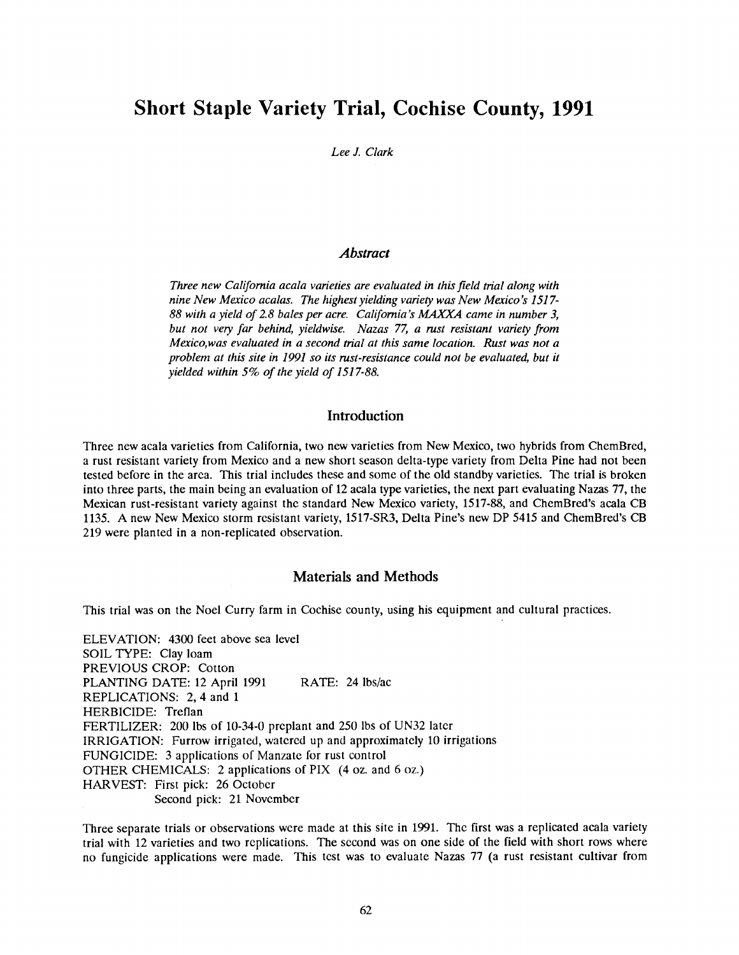# Short Staple Variety Trial, Cochise County, 1991

## Lee J. Clark

## Abstract

Three new California acala varieties are evaluated in this field trial along with nine New Mexico acalas. The highest yielding variety was New Mexico's 1517- 88 with a yield of 2.8 bales per acre. California's MAXXA came in number 3, but not very far behind, yieldwise. Nazas 77, a rust resistant variety from Mexico,was evaluated in a second trial at this same location. Rust was not a problem at this site in 1991 so its rust-resistance could not be evaluated, but it yielded within 5% of the yield of 1517-88.

# Introduction

Three new acala varieties from California, two new varieties from New Mexico, two hybrids from ChemBred, a rust resistant variety from Mexico and a new short season delta -type variety from Delta Pine had not been tested before in the area. This trial includes these and some of the old standby varieties. The trial is broken into three parts, the main being an evaluation of 12 acala type varieties, the next part evaluating Nazas 77, the Mexican rust-resistant variety against the standard New Mexico variety, 1517-88, and ChemBred's acala CB 1135. A new New Mexico storm resistant variety, 1517 -SR3, Delta Pine's new DP 5415 and ChemBred's CB 219 were planted in a non -replicated observation.

## Materials and Methods

This trial was on the Noel Curry farm in Cochise county, using his equipment and cultural practices.

ELEVATION: 4300 feet above sea level SOIL TYPE: Clay loam PREVIOUS CROP: Cotton PLANTING DATE: 12 April 1991 RATE: 24 lbs/ac REPLICATIONS: 2, 4 and 1 HERBICIDE: Treflan FERTILIZER: 200 lbs of 10-34-0 preplant and 250 lbs of UN32 later IRRIGATION: Furrow irrigated, watered up and approximately 10 irrigations FUNGICIDE: 3 applications of Manzate for rust control OTHER CHEMICALS: 2 applications of FIX (4 oz. and 6 oz.) HARVEST: First pick: 26 October Second pick: 21 November

Three separate trials or observations were made at this site in 1991. The first was a replicated acala variety trial with 12 varieties and two replications. The second was on one side of the field with short rows where no fungicide applications were made. This test was to evaluate Nazas 77 (a rust resistant cultivar from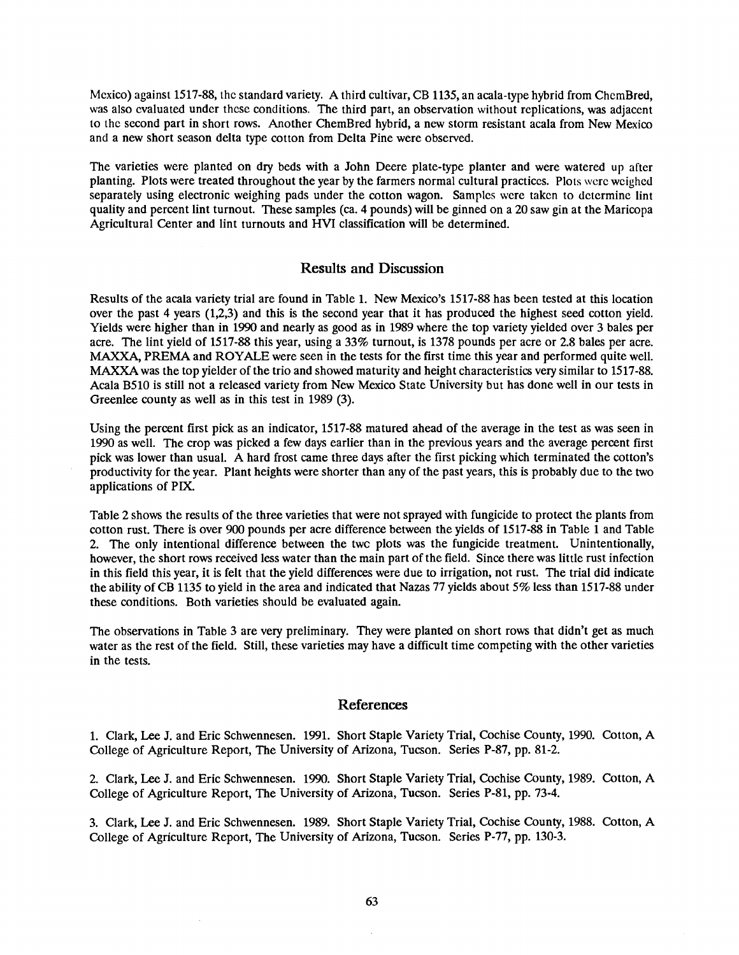Mexico) against 1517 -88, the standard variety. A third cultivar, CB 1135, an acala -type hybrid from ChemBred, was also evaluated under these conditions. The third part, an observation without replications, was adjacent to the second part in short rows. Another ChemBred hybrid, a new storm resistant acala from New Mexico and a new short season delta type cotton from Delta Pine were observed.

The varieties were planted on dry beds with a John Deere plate -type planter and were watered up after planting. Plots were treated throughout the year by the farmers normal cultural practices. Plots were weighed separately using electronic weighing pads under the cotton wagon. Samples were taken to determine lint quality and percent lint turnout. These samples (ca. 4 pounds) will be ginned on a 20 saw gin at the Maricopa Agricultural Center and lint turnouts and HVI classification will be determined.

## Results and Discussion

Results of the acala variety trial are found in Table 1. New Mexico's 1517 -88 has been tested at this location over the past 4 years (1,2,3) and this is the second year that it has produced the highest seed cotton yield. Yields were higher than in 1990 and nearly as good as in 1989 where the top variety yielded over 3 bales per acre. The lint yield of 1517 -88 this year, using a 33% turnout, is 1378 pounds per acre or 2.8 bales per acre. MAXXA, PREMA and ROYALE were seen in the tests for the first time this year and performed quite well. MAXXA was the top yielder of the trio and showed maturity and height characteristics very similar to 1517 -88. Acala B510 is still not a released variety from New Mexico State University but has done well in our tests in Greenlee county as well as in this test in 1989 (3).

Using the percent first pick as an indicator, 1517 -88 matured ahead of the average in the test as was seen in 1990 as well. The crop was picked a few days earlier than in the previous years and the average percent first pick was lower than usual. A hard frost came three days after the first picking which terminated the cotton's productivity for the year. Plant heights were shorter than any of the past years, this is probably due to the two applications of PIX.

Table 2 shows the results of the three varieties that were not sprayed with fungicide to protect the plants from cotton rust. There is over 900 pounds per acre difference between the yields of 1517 -88 in Table 1 and Table 2. The only intentional difference between the twc plots was the fungicide treatment. Unintentionally, however, the short rows received less water than the main part of the field. Since there was little rust infection in this field this year, it is felt that the yield differences were due to irrigation, not rust. The trial did indicate the ability of CB 1135 to yield in the area and indicated that Nazas 77 yields about 5% less than 1517 -88 under these conditions. Both varieties should be evaluated again.

The observations in Table 3 are very preliminary. They were planted on short rows that didn't get as much water as the rest of the field. Still, these varieties may have a difficult time competing with the other varieties in the tests.

## References

1. Clark, Lee J. and Eric Schwennesen. 1991. Short Staple Variety Trial, Cochise County, 1990. Cotton, A College of Agriculture Report, The University of Arizona, Tucson. Series P-87, pp. 81-2.

2. Clark, Lee J. and Eric Schwennesen. 1990. Short Staple Variety Trial, Cochise County, 1989. Cotton, A College of Agriculture Report, The University of Arizona, Tucson. Series P-81, pp. 73-4.

3. Clark, Lee J. and Eric Schwennesen. 1989. Short Staple Variety Trial, Cochise County, 1988. Cotton, A College of Agriculture Report, The University of Arizona, Tucson. Series P-77, pp. 130-3.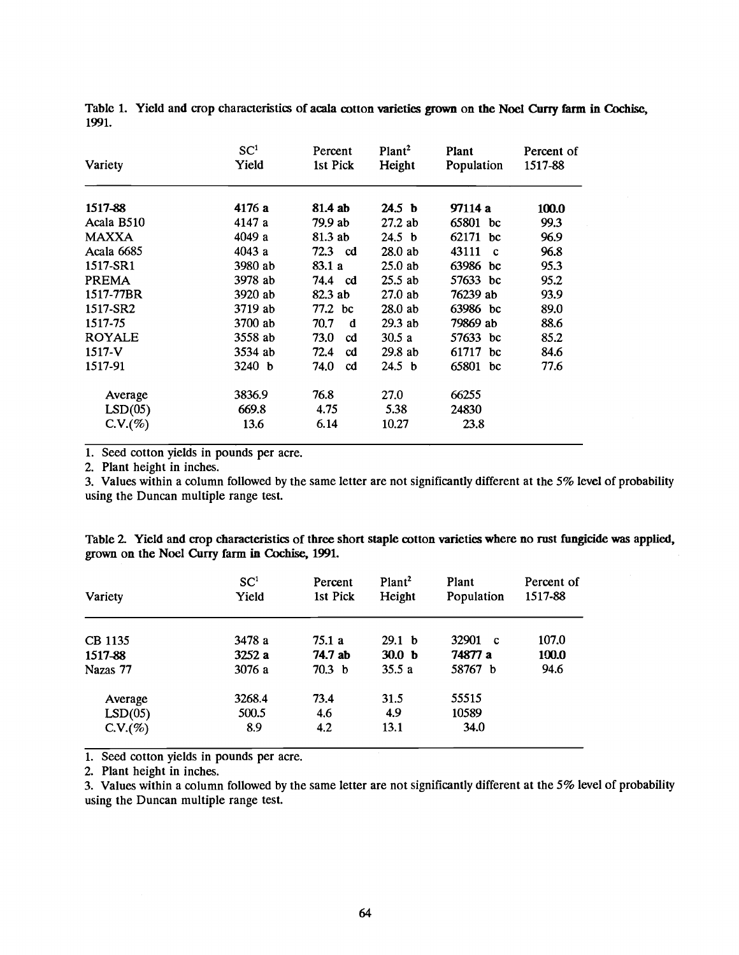| Variety       | SC <sup>1</sup><br>Yield | Percent<br>1st Pick   | Plant <sup>2</sup><br>Height | Plant<br>Population   | Percent of<br>1517-88 |
|---------------|--------------------------|-----------------------|------------------------------|-----------------------|-----------------------|
| 1517-88       | 4176 a                   | 81.4 ab               | 24.5 <sub>b</sub>            | 97114 a               | 100.0                 |
| Acala B510    | 4147 a                   | 79.9 ab               | 27.2ab                       | 65801 bc              | 99.3                  |
| <b>MAXXA</b>  | 4049 a                   | 81.3 ab               | 24.5 <sub>b</sub>            | 62171 bc              | 96.9                  |
| Acala 6685    | 4043a                    | 72.3 cd               | 28.0ab                       | 43111<br>$\mathbf{c}$ | 96.8                  |
| 1517-SR1      | 3980 ab                  | 83.1 a                | $25.0$ ab                    | 63986 bc              | 95.3                  |
| <b>PREMA</b>  | 3978 ab                  | 74.4 cd               | $25.5$ ab                    | 57633 bc              | 95.2                  |
| 1517-77BR     | 3920 ab                  | 82.3 ab               | $27.0$ ab                    | 76239 ab              | 93.9                  |
| 1517-SR2      | 3719 ab                  | 77.2 bc               | $28.0$ ab                    | 63986 bc              | 89.0                  |
| 1517-75       | 3700 ab                  | 70.7<br>d             | $29.3$ ab                    | 79869 ab              | 88.6                  |
| <b>ROYALE</b> | 3558 ab                  | 73.0<br>cd            | 30.5a                        | 57633 bc              | 85.2                  |
| $1517 - V$    | 3534 ab                  | 72.4<br>cd            | 29.8ab                       | 61717 bc              | 84.6                  |
| 1517-91       | 3240 b                   | 74.0<br><sub>cd</sub> | 24.5 b                       | 65801 bc              | 77.6                  |
| Average       | 3836.9                   | 76.8                  | 27.0                         | 66255                 |                       |
| LSD(05)       | 669.8                    | 4.75                  | 5.38                         | 24830                 |                       |
| C.V.(%)       | 13.6                     | 6.14                  | 10.27                        | 23.8                  |                       |

Table 1. Yield and crop characteristics of acala cotton varieties grown on the Noel Curry farm in Cochise, 1991.

1. Seed cotton yields in pounds per acre.

2. Plant height in inches.

3. Values within a column followed by the same letter are not significantly different at the 5% level of probability using the Duncan multiple range test.

| Table 2. Yield and crop characteristics of three short staple cotton varieties where no rust fungicide was applied, |  |
|---------------------------------------------------------------------------------------------------------------------|--|
| grown on the Noel Curry farm in Cochise, 1991.                                                                      |  |

| Variety  | SC <sup>1</sup><br>Yield | Percent<br>1st Pick | Plant <sup>2</sup><br>Height | Plant<br>Population | Percent of<br>1517-88 |
|----------|--------------------------|---------------------|------------------------------|---------------------|-----------------------|
| CB 1135  | 3478 a                   | 75.1 a              | 29.1 <sub>b</sub>            | 32901 c             | 107.0                 |
| 1517-88  | 3252a                    | 74.7 ab             | 30.0 <sub>b</sub>            | 74877 a             | 100.0                 |
| Nazas 77 | 3076 a                   | 70.3 <sub>b</sub>   | 35.5a                        | 58767 b             | 94.6                  |
| Average  | 3268.4                   | 73.4                | 31.5                         | 55515               |                       |
| LSD(05)  | 500.5                    | 4.6                 | 4.9                          | 10589               |                       |
| C.V. (%) | 8.9                      | 4.2                 | 13.1                         | 34.0                |                       |

1. Seed cotton yields in pounds per acre.

2. Plant height in inches.

3. Values within a column followed by the same letter are not significantly different at the 5% level of probability using the Duncan multiple range test.